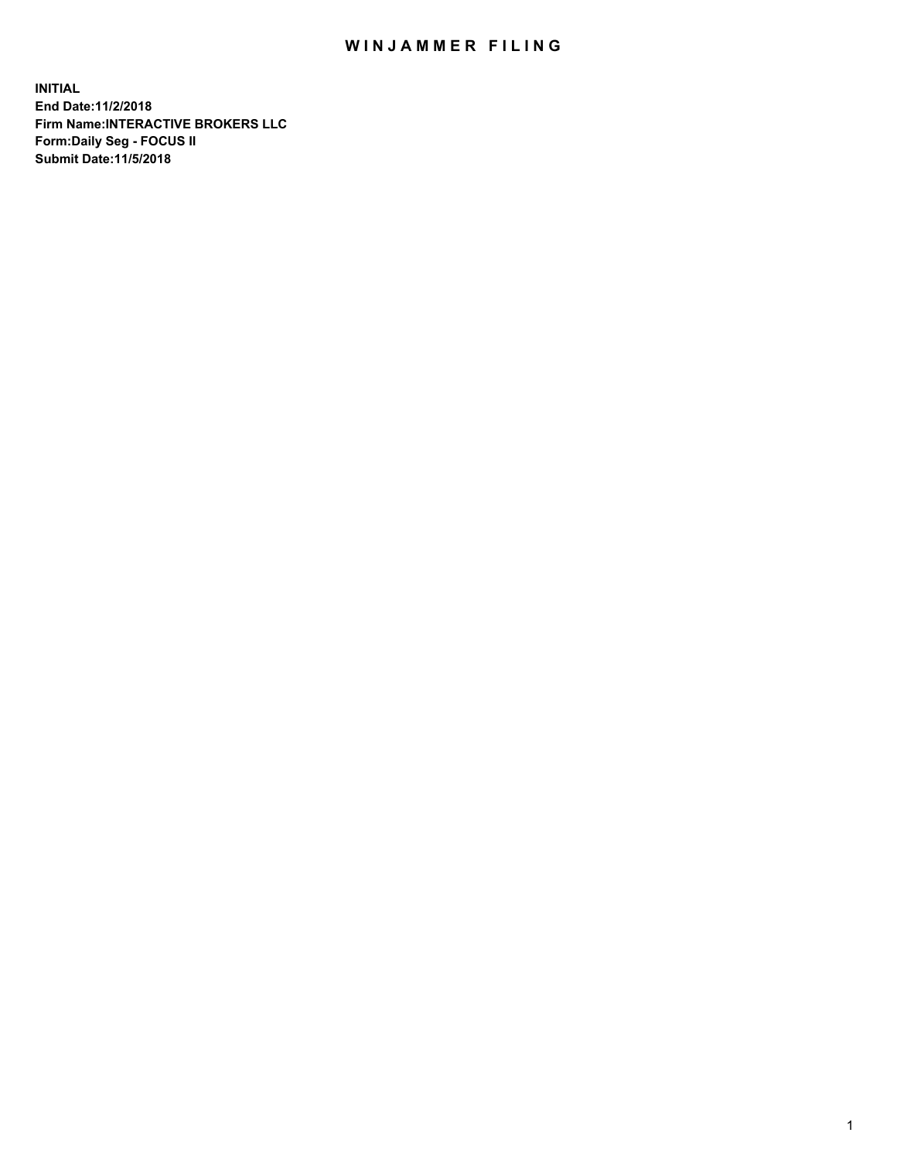## WIN JAMMER FILING

**INITIAL End Date:11/2/2018 Firm Name:INTERACTIVE BROKERS LLC Form:Daily Seg - FOCUS II Submit Date:11/5/2018**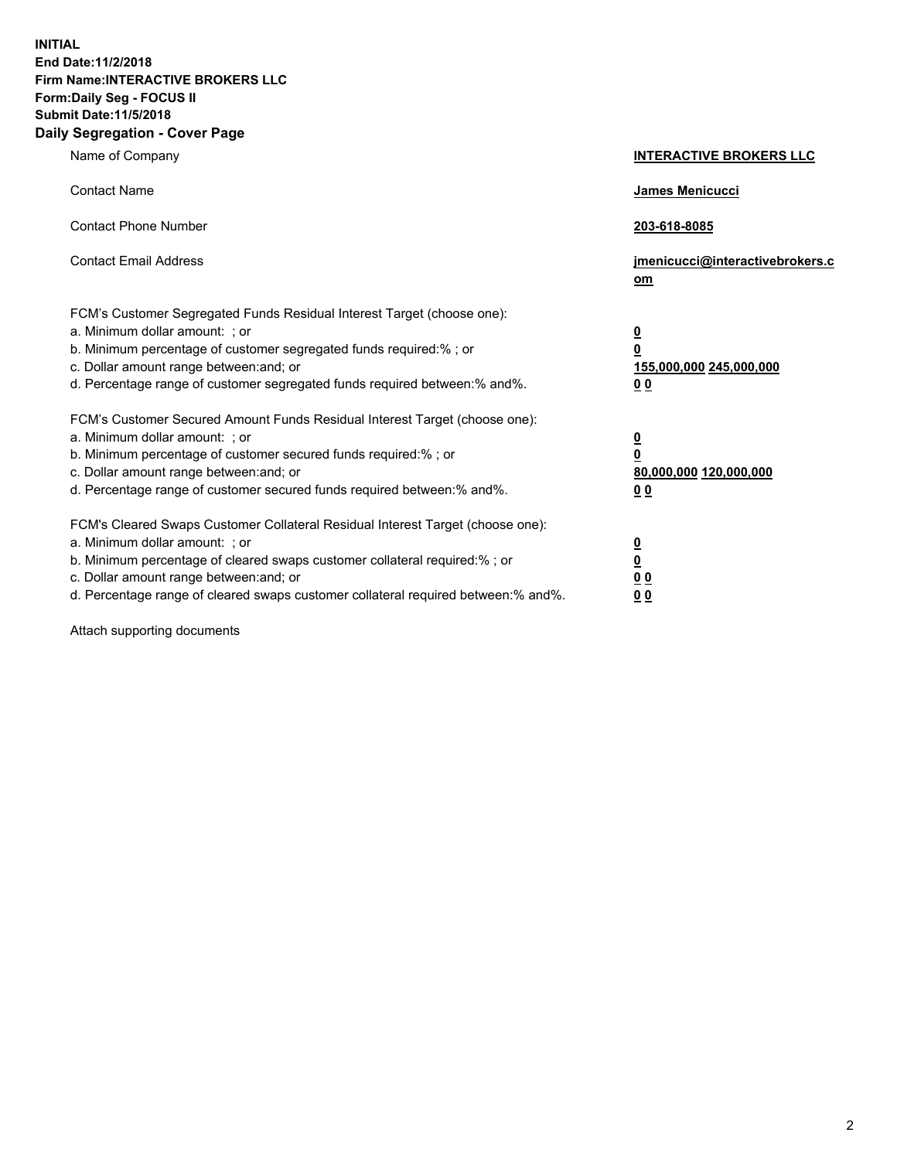**INITIAL End Date:11/2/2018 Firm Name:INTERACTIVE BROKERS LLC Form:Daily Seg - FOCUS II Submit Date:11/5/2018 Daily Segregation - Cover Page**

| Name of Company                                                                                                                                                                                                                                                                                                                | <b>INTERACTIVE BROKERS LLC</b>                                                                  |
|--------------------------------------------------------------------------------------------------------------------------------------------------------------------------------------------------------------------------------------------------------------------------------------------------------------------------------|-------------------------------------------------------------------------------------------------|
| <b>Contact Name</b>                                                                                                                                                                                                                                                                                                            | James Menicucci                                                                                 |
| <b>Contact Phone Number</b>                                                                                                                                                                                                                                                                                                    | 203-618-8085                                                                                    |
| <b>Contact Email Address</b>                                                                                                                                                                                                                                                                                                   | jmenicucci@interactivebrokers.c<br>om                                                           |
| FCM's Customer Segregated Funds Residual Interest Target (choose one):<br>a. Minimum dollar amount: ; or<br>b. Minimum percentage of customer segregated funds required:% ; or<br>c. Dollar amount range between: and; or<br>d. Percentage range of customer segregated funds required between:% and%.                         | $\overline{\mathbf{0}}$<br>$\overline{\mathbf{0}}$<br>155,000,000 245,000,000<br>0 <sub>0</sub> |
| FCM's Customer Secured Amount Funds Residual Interest Target (choose one):<br>a. Minimum dollar amount: ; or<br>b. Minimum percentage of customer secured funds required:% ; or<br>c. Dollar amount range between: and; or<br>d. Percentage range of customer secured funds required between:% and%.                           | $\overline{\mathbf{0}}$<br>0<br>80,000,000 120,000,000<br>0 <sub>0</sub>                        |
| FCM's Cleared Swaps Customer Collateral Residual Interest Target (choose one):<br>a. Minimum dollar amount: ; or<br>b. Minimum percentage of cleared swaps customer collateral required:% ; or<br>c. Dollar amount range between: and; or<br>d. Percentage range of cleared swaps customer collateral required between:% and%. | $\overline{\mathbf{0}}$<br><u>0</u><br>$\underline{0}$ $\underline{0}$<br>00                    |

Attach supporting documents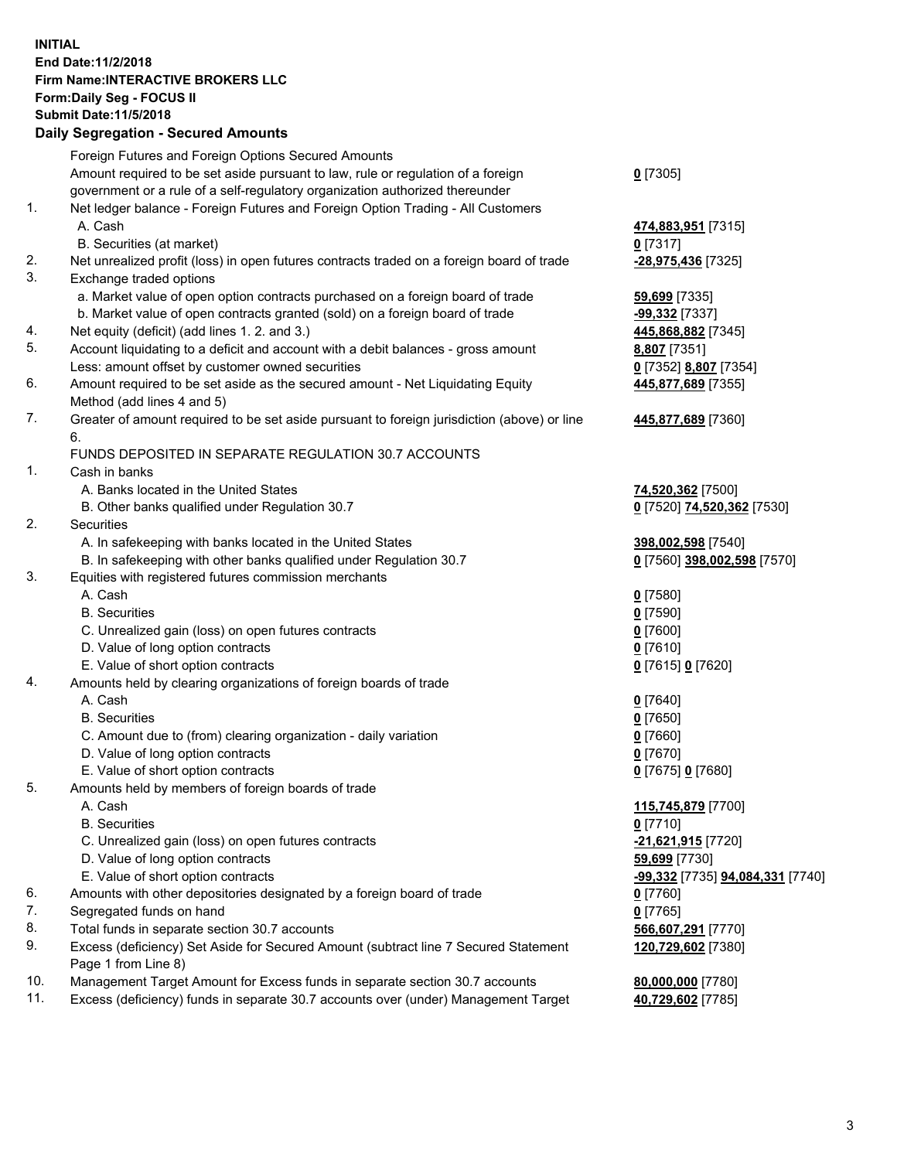## **INITIAL End Date:11/2/2018 Firm Name:INTERACTIVE BROKERS LLC Form:Daily Seg - FOCUS II Submit Date:11/5/2018 Daily Segregation - Secured Amounts**

|     | Daily Segregation - Secured Amounts                                                                        |                                                |
|-----|------------------------------------------------------------------------------------------------------------|------------------------------------------------|
|     | Foreign Futures and Foreign Options Secured Amounts                                                        |                                                |
|     | Amount required to be set aside pursuant to law, rule or regulation of a foreign                           | $0$ [7305]                                     |
|     | government or a rule of a self-regulatory organization authorized thereunder                               |                                                |
| 1.  | Net ledger balance - Foreign Futures and Foreign Option Trading - All Customers                            |                                                |
|     | A. Cash                                                                                                    | 474,883,951 [7315]                             |
|     | B. Securities (at market)                                                                                  | $0$ [7317]                                     |
| 2.  | Net unrealized profit (loss) in open futures contracts traded on a foreign board of trade                  | -28,975,436 [7325]                             |
| 3.  | Exchange traded options                                                                                    |                                                |
|     | a. Market value of open option contracts purchased on a foreign board of trade                             | 59,699 [7335]                                  |
|     | b. Market value of open contracts granted (sold) on a foreign board of trade                               | -99,332 [7337]                                 |
| 4.  | Net equity (deficit) (add lines 1.2. and 3.)                                                               | 445,868,882 [7345]                             |
| 5.  | Account liquidating to a deficit and account with a debit balances - gross amount                          | 8,807 [7351]                                   |
|     | Less: amount offset by customer owned securities                                                           | 0 [7352] 8,807 [7354]                          |
| 6.  | Amount required to be set aside as the secured amount - Net Liquidating Equity                             | 445,877,689 [7355]                             |
|     | Method (add lines 4 and 5)                                                                                 |                                                |
| 7.  | Greater of amount required to be set aside pursuant to foreign jurisdiction (above) or line                | 445,877,689 [7360]                             |
|     | 6.<br>FUNDS DEPOSITED IN SEPARATE REGULATION 30.7 ACCOUNTS                                                 |                                                |
| 1.  | Cash in banks                                                                                              |                                                |
|     | A. Banks located in the United States                                                                      | 74,520,362 [7500]                              |
|     | B. Other banks qualified under Regulation 30.7                                                             | 0 [7520] 74,520,362 [7530]                     |
| 2.  | Securities                                                                                                 |                                                |
|     | A. In safekeeping with banks located in the United States                                                  | 398,002,598 [7540]                             |
|     | B. In safekeeping with other banks qualified under Regulation 30.7                                         | 0 [7560] 398,002,598 [7570]                    |
| 3.  | Equities with registered futures commission merchants                                                      |                                                |
|     | A. Cash                                                                                                    | $0$ [7580]                                     |
|     | <b>B.</b> Securities                                                                                       | $0$ [7590]                                     |
|     | C. Unrealized gain (loss) on open futures contracts                                                        | $0$ [7600]                                     |
|     | D. Value of long option contracts                                                                          | $0$ [7610]                                     |
|     | E. Value of short option contracts                                                                         | 0 [7615] 0 [7620]                              |
| 4.  | Amounts held by clearing organizations of foreign boards of trade                                          |                                                |
|     | A. Cash                                                                                                    | $0$ [7640]                                     |
|     | <b>B.</b> Securities                                                                                       | $0$ [7650]                                     |
|     | C. Amount due to (from) clearing organization - daily variation                                            | $0$ [7660]                                     |
|     | D. Value of long option contracts                                                                          | $0$ [7670]                                     |
|     | E. Value of short option contracts                                                                         | 0 [7675] 0 [7680]                              |
| 5.  | Amounts held by members of foreign boards of trade                                                         |                                                |
|     | A. Cash                                                                                                    | 115,745,879 [7700]                             |
|     | <b>B.</b> Securities                                                                                       | $0$ [7710]                                     |
|     | C. Unrealized gain (loss) on open futures contracts                                                        | -21,621,915 [7720]                             |
|     | D. Value of long option contracts                                                                          | 59,699 [7730]                                  |
|     | E. Value of short option contracts                                                                         | <u>-99,332</u> [7735] <u>94,084,331</u> [7740] |
| 6.  | Amounts with other depositories designated by a foreign board of trade                                     | 0 [7760]                                       |
| 7.  | Segregated funds on hand                                                                                   | $0$ [7765]                                     |
| 8.  | Total funds in separate section 30.7 accounts                                                              | 566,607,291 [7770]                             |
| 9.  | Excess (deficiency) Set Aside for Secured Amount (subtract line 7 Secured Statement<br>Page 1 from Line 8) | 120,729,602 [7380]                             |
| 10. | Management Target Amount for Excess funds in separate section 30.7 accounts                                | 80,000,000 [7780]                              |
| 11. | Excess (deficiency) funds in separate 30.7 accounts over (under) Management Target                         | 40,729,602 [7785]                              |
|     |                                                                                                            |                                                |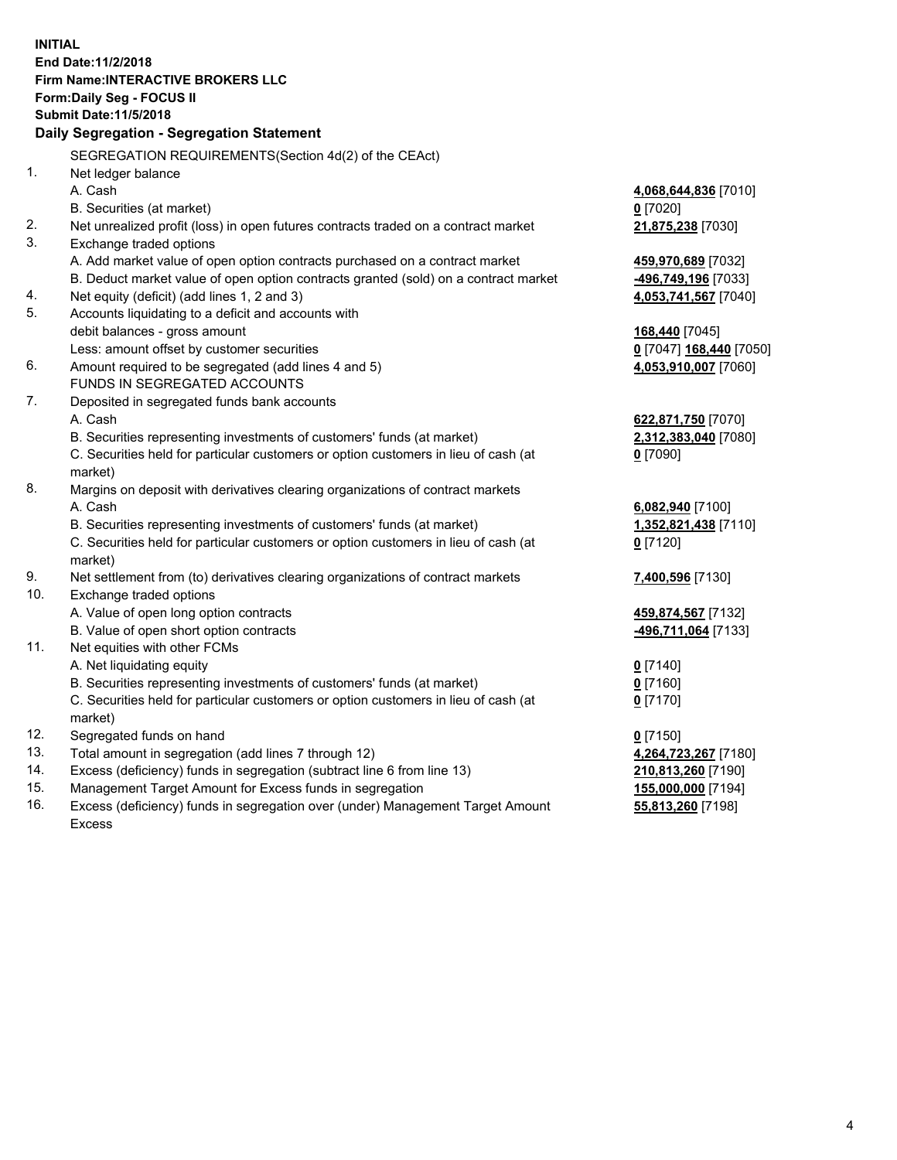**INITIAL End Date:11/2/2018 Firm Name:INTERACTIVE BROKERS LLC Form:Daily Seg - FOCUS II Submit Date:11/5/2018 Daily Segregation - Segregation Statement** SEGREGATION REQUIREMENTS(Section 4d(2) of the CEAct) 1. Net ledger balance A. Cash **4,068,644,836** [7010] B. Securities (at market) **0** [7020] 2. Net unrealized profit (loss) in open futures contracts traded on a contract market **21,875,238** [7030] 3. Exchange traded options A. Add market value of open option contracts purchased on a contract market **459,970,689** [7032] B. Deduct market value of open option contracts granted (sold) on a contract market **-496,749,196** [7033] 4. Net equity (deficit) (add lines 1, 2 and 3) **4,053,741,567** [7040] 5. Accounts liquidating to a deficit and accounts with debit balances - gross amount **168,440** [7045] Less: amount offset by customer securities **0** [7047] **168,440** [7050] 6. Amount required to be segregated (add lines 4 and 5) **4,053,910,007** [7060] FUNDS IN SEGREGATED ACCOUNTS 7. Deposited in segregated funds bank accounts A. Cash **622,871,750** [7070] B. Securities representing investments of customers' funds (at market) **2,312,383,040** [7080] C. Securities held for particular customers or option customers in lieu of cash (at market) **0** [7090] 8. Margins on deposit with derivatives clearing organizations of contract markets A. Cash **6,082,940** [7100] B. Securities representing investments of customers' funds (at market) **1,352,821,438** [7110] C. Securities held for particular customers or option customers in lieu of cash (at market) **0** [7120] 9. Net settlement from (to) derivatives clearing organizations of contract markets **7,400,596** [7130] 10. Exchange traded options A. Value of open long option contracts **459,874,567** [7132] B. Value of open short option contracts **-496,711,064** [7133] 11. Net equities with other FCMs A. Net liquidating equity **0** [7140] B. Securities representing investments of customers' funds (at market) **0** [7160] C. Securities held for particular customers or option customers in lieu of cash (at market) **0** [7170] 12. Segregated funds on hand **0** [7150] 13. Total amount in segregation (add lines 7 through 12) **4,264,723,267** [7180] 14. Excess (deficiency) funds in segregation (subtract line 6 from line 13) **210,813,260** [7190] 15. Management Target Amount for Excess funds in segregation **155,000,000** [7194]

16. Excess (deficiency) funds in segregation over (under) Management Target Amount Excess

**55,813,260** [7198]